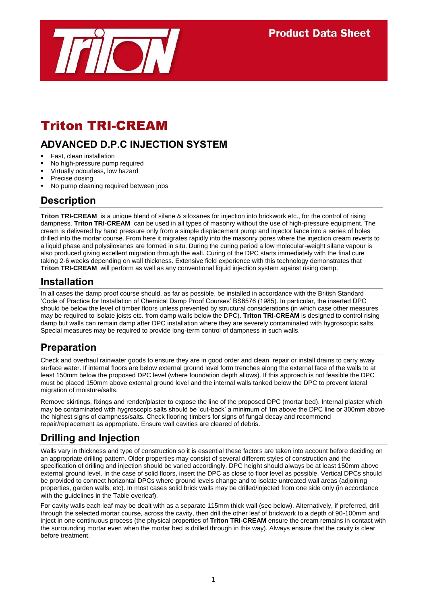

# Triton TRI-CREAM

# **ADVANCED D.P.C INJECTION SYSTEM**

- Fast, clean installation
- No high-pressure pump required
- Virtually odourless, low hazard
- Precise dosing
- No pump cleaning required between jobs

#### **Description**

**Triton TRI-CREAM** is a unique blend of silane & siloxanes for injection into brickwork etc., for the control of rising dampness. **Triton TRI-CREAM** can be used in all types of masonry without the use of high-pressure equipment. The cream is delivered by hand pressure only from a simple displacement pump and injector lance into a series of holes drilled into the mortar course. From here it migrates rapidly into the masonry pores where the injection cream reverts to a liquid phase and polysiloxanes are formed in situ. During the curing period a low molecular-weight silane vapour is also produced giving excellent migration through the wall. Curing of the DPC starts immediately with the final cure taking 2-6 weeks depending on wall thickness. Extensive field experience with this technology demonstrates that **Triton TRI-CREAM** will perform as well as any conventional liquid injection system against rising damp.

#### **Installation**

In all cases the damp proof course should, as far as possible, be installed in accordance with the British Standard 'Code of Practice for Installation of Chemical Damp Proof Courses' BS6576 (1985). In particular, the inserted DPC should be below the level of timber floors unless prevented by structural considerations (in which case other measures may be required to isolate joists etc. from damp walls below the DPC). **Triton TRI-CREAM** is designed to control rising damp but walls can remain damp after DPC installation where they are severely contaminated with hygroscopic salts. Special measures may be required to provide long-term control of dampness in such walls.

#### **Preparation**

Check and overhaul rainwater goods to ensure they are in good order and clean, repair or install drains to carry away surface water. If internal floors are below external ground level form trenches along the external face of the walls to at least 150mm below the proposed DPC level (where foundation depth allows). If this approach is not feasible the DPC must be placed 150mm above external ground level and the internal walls tanked below the DPC to prevent lateral migration of moisture/salts.

Remove skirtings, fixings and render/plaster to expose the line of the proposed DPC (mortar bed). Internal plaster which may be contaminated with hygroscopic salts should be 'cut-back' a minimum of 1m above the DPC line or 300mm above the highest signs of dampness/salts. Check flooring timbers for signs of fungal decay and recommend repair/replacement as appropriate. Ensure wall cavities are cleared of debris.

### **Drilling and Injection**

Walls vary in thickness and type of construction so it is essential these factors are taken into account before deciding on an appropriate drilling pattern. Older properties may consist of several different styles of construction and the specification of drilling and injection should be varied accordingly. DPC height should always be at least 150mm above external ground level. In the case of solid floors, insert the DPC as close to floor level as possible. Vertical DPCs should be provided to connect horizontal DPCs where ground levels change and to isolate untreated wall areas (adjoining properties, garden walls, etc). In most cases solid brick walls may be drilled/injected from one side only (in accordance with the guidelines in the Table overleaf).

For cavity walls each leaf may be dealt with as a separate 115mm thick wall (see below). Alternatively, if preferred, drill through the selected mortar course, across the cavity, then drill the other leaf of brickwork to a depth of 90-100mm and inject in one continuous process (the physical properties of **Triton TRI-CREAM** ensure the cream remains in contact with the surrounding mortar even when the mortar bed is drilled through in this way). Always ensure that the cavity is clear before treatment.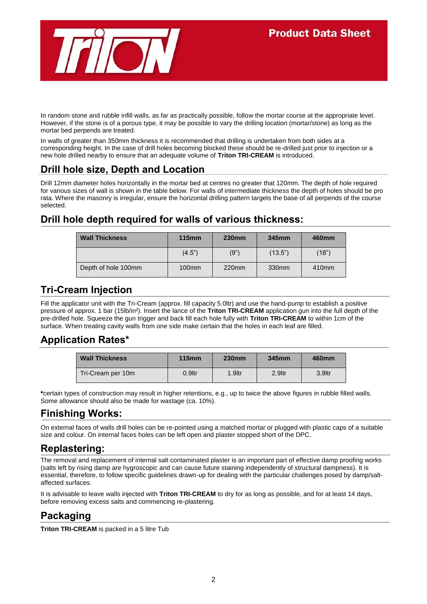

In random stone and rubble infill walls, as far as practically possible, follow the mortar course at the appropriate level. However, if the stone is of a porous type, it may be possible to vary the drilling location (mortar/stone) as long as the mortar bed perpends are treated.

In walls of greater than 350mm thickness it is recommended that drilling is undertaken from both sides at a corresponding height. In the case of drill holes becoming blocked these should be re-drilled just prior to injection or a new hole drilled nearby to ensure that an adequate volume of **Triton TRI-CREAM** is introduced.

## **Drill hole size, Depth and Location**

Drill 12mm diameter holes horizontally in the mortar bed at centres no greater that 120mm. The depth of hole required for various sizes of wall is shown in the table below. For walls of intermediate thickness the depth of holes should be pro rata. Where the masonry is irregular, ensure the horizontal drilling pattern targets the base of all perpends of the course selected.

# **Drill hole depth required for walls of various thickness:**

| <b>Wall Thickness</b> | $115$ mm | <b>230mm</b>      | 345mm   | 460mm             |
|-----------------------|----------|-------------------|---------|-------------------|
|                       | (4.5")   | (9")              | (13.5") | (18")             |
| Depth of hole 100mm   | $100$ mm | 220 <sub>mm</sub> | 330mm   | 410 <sub>mm</sub> |

### **Tri-Cream Injection**

Fill the applicator unit with the Tri-Cream (approx. fill capacity 5.0ltr) and use the hand-pump to establish a positive pressure of approx. 1 bar (15lb/in²). Insert the lance of the **Triton TRI-CREAM** application gun into the full depth of the pre-drilled hole. Squeeze the gun trigger and back fill each hole fully with **Triton TRI-CREAM** to within 1cm of the surface. When treating cavity walls from one side make certain that the holes in each leaf are filled.

### **Application Rates\***

| <b>Wall Thickness</b> | <b>115mm</b> | <b>230mm</b> | 345mm              | 460mm  |
|-----------------------|--------------|--------------|--------------------|--------|
| Tri-Cream per 10m     | 0.9ltr       | 1.9ltr       | 2.9 <sub>ltr</sub> | 3.9ltr |

**\***certain types of construction may result in higher retentions, e.g., up to twice the above figures in rubble filled walls. Some allowance should also be made for wastage (ca. 10%).

### **Finishing Works:**

On external faces of walls drill holes can be re-pointed using a matched mortar or plugged with plastic caps of a suitable size and colour. On internal faces holes can be left open and plaster stopped short of the DPC.

### **Replastering:**

The removal and replacement of internal salt contaminated plaster is an important part of effective damp proofing works (salts left by rising damp are hygroscopic and can cause future staining independently of structural dampness). It is essential, therefore, to follow specific guidelines drawn-up for dealing with the particular challenges posed by damp/saltaffected surfaces.

It is advisable to leave walls injected with **Triton TRI-CREAM** to dry for as long as possible, and for at least 14 days, before removing excess salts and commencing re-plastering.

# **Packaging**

**Triton TRI-CREAM** is packed in a 5 litre Tub